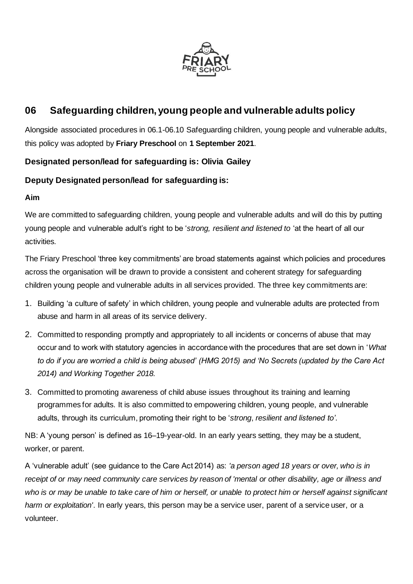

# **06 Safeguarding children, young people and vulnerable adults policy**

Alongside associated procedures in 06.1-06.10 Safeguarding children, young people and vulnerable adults, this policy was adopted by **Friary Preschool** on **1 September 2021**.

# **Designated person/lead for safeguarding is: Olivia Gailey**

### **Deputy Designated person/lead for safeguarding is:**

#### **Aim**

We are committed to safeguarding children, young people and vulnerable adults and will do this by putting young people and vulnerable adult's right to be '*strong, resilient and listened to* 'at the heart of all our activities.

The Friary Preschool 'three key commitments' are broad statements against which policies and procedures across the organisation will be drawn to provide a consistent and coherent strategy for safeguarding children young people and vulnerable adults in all services provided. The three key commitments are:

- 1. Building 'a culture of safety' in which children, young people and vulnerable adults are protected from abuse and harm in all areas of its service delivery.
- 2. Committed to responding promptly and appropriately to all incidents or concerns of abuse that may occur and to work with statutory agencies in accordance with the procedures that are set down in '*What to do if you are worried a child is being abused' (HMG 2015) and 'No Secrets (updated by the Care Act 2014) and Working Together 2018.*
- 3. Committed to promoting awareness of child abuse issues throughout its training and learning programmes for adults. It is also committed to empowering children, young people, and vulnerable adults, through its curriculum, promoting their right to be '*strong*, *resilient and listened to'*.

NB: A 'young person' is defined as 16–19-year-old. In an early years setting, they may be a student, worker, or parent.

A 'vulnerable adult' (see guidance to the Care Act 2014) as: *'a person aged 18 years or over, who is in receipt of or may need community care services by reason of 'mental or other disability, age or illness and who is or may be unable to take care of him or herself, or unable to protect him or herself against significant harm or exploitation'*. In early years, this person may be a service user, parent of a service user, or a volunteer.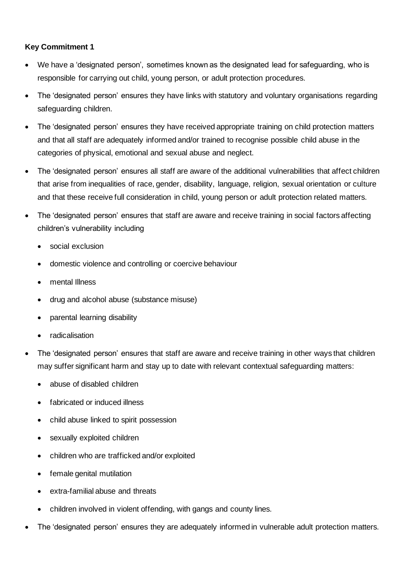#### **Key Commitment 1**

- We have a 'designated person', sometimes known as the designated lead for safeguarding, who is responsible for carrying out child, young person, or adult protection procedures.
- The 'designated person' ensures they have links with statutory and voluntary organisations regarding safeguarding children.
- The 'designated person' ensures they have received appropriate training on child protection matters and that all staff are adequately informed and/or trained to recognise possible child abuse in the categories of physical, emotional and sexual abuse and neglect.
- The 'designated person' ensures all staff are aware of the additional vulnerabilities that affect children that arise from inequalities of race, gender, disability, language, religion, sexual orientation or culture and that these receive full consideration in child, young person or adult protection related matters.
- The 'designated person' ensures that staff are aware and receive training in social factors affecting children's vulnerability including
	- social exclusion
	- domestic violence and controlling or coercive behaviour
	- mental Illness
	- drug and alcohol abuse (substance misuse)
	- parental learning disability
	- radicalisation
- The 'designated person' ensures that staff are aware and receive training in other ways that children may suffer significant harm and stay up to date with relevant contextual safeguarding matters:
	- abuse of disabled children
	- fabricated or induced illness
	- child abuse linked to spirit possession
	- sexually exploited children
	- children who are trafficked and/or exploited
	- female genital mutilation
	- extra-familial abuse and threats
	- children involved in violent offending, with gangs and county lines.
- The 'designated person' ensures they are adequately informed in vulnerable adult protection matters.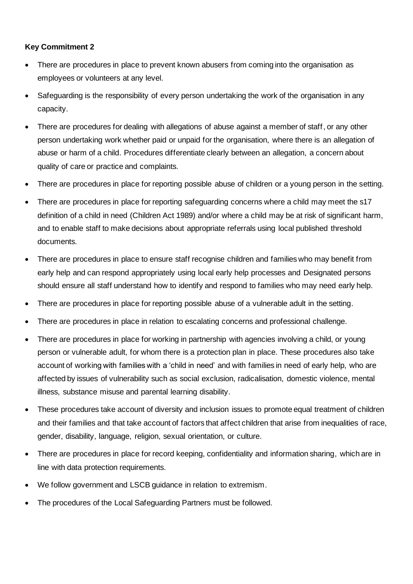#### **Key Commitment 2**

- There are procedures in place to prevent known abusers from coming into the organisation as employees or volunteers at any level.
- Safeguarding is the responsibility of every person undertaking the work of the organisation in any capacity.
- There are procedures for dealing with allegations of abuse against a member of staff, or any other person undertaking work whether paid or unpaid for the organisation, where there is an allegation of abuse or harm of a child. Procedures differentiate clearly between an allegation, a concern about quality of care or practice and complaints.
- There are procedures in place for reporting possible abuse of children or a young person in the setting.
- There are procedures in place for reporting safeguarding concerns where a child may meet the s17 definition of a child in need (Children Act 1989) and/or where a child may be at risk of significant harm, and to enable staff to make decisions about appropriate referrals using local published threshold documents.
- There are procedures in place to ensure staff recognise children and families who may benefit from early help and can respond appropriately using local early help processes and Designated persons should ensure all staff understand how to identify and respond to families who may need early help.
- There are procedures in place for reporting possible abuse of a vulnerable adult in the setting.
- There are procedures in place in relation to escalating concerns and professional challenge.
- There are procedures in place for working in partnership with agencies involving a child, or young person or vulnerable adult, for whom there is a protection plan in place. These procedures also take account of working with families with a 'child in need' and with families in need of early help, who are affected by issues of vulnerability such as social exclusion, radicalisation, domestic violence, mental illness, substance misuse and parental learning disability.
- These procedures take account of diversity and inclusion issues to promote equal treatment of children and their families and that take account of factors that affect children that arise from inequalities of race, gender, disability, language, religion, sexual orientation, or culture.
- There are procedures in place for record keeping, confidentiality and information sharing, which are in line with data protection requirements.
- We follow government and LSCB guidance in relation to extremism.
- The procedures of the Local Safeguarding Partners must be followed.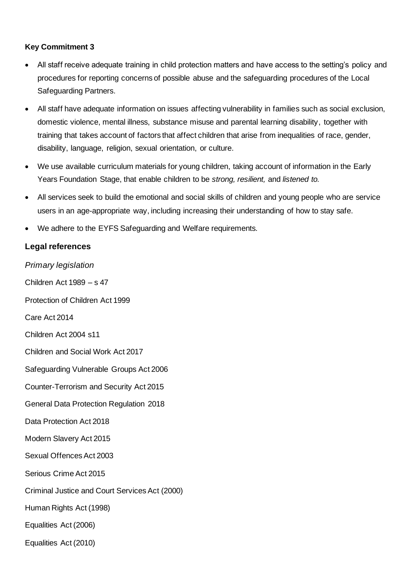#### **Key Commitment 3**

- All staff receive adequate training in child protection matters and have access to the setting's policy and procedures for reporting concerns of possible abuse and the safeguarding procedures of the Local Safeguarding Partners.
- All staff have adequate information on issues affecting vulnerability in families such as social exclusion, domestic violence, mental illness, substance misuse and parental learning disability, together with training that takes account of factors that affect children that arise from inequalities of race, gender, disability, language, religion, sexual orientation, or culture.
- We use available curriculum materials for young children, taking account of information in the Early Years Foundation Stage, that enable children to be *strong, resilient,* and *listened to.*
- All services seek to build the emotional and social skills of children and young people who are service users in an age-appropriate way, including increasing their understanding of how to stay safe.
- We adhere to the EYFS Safeguarding and Welfare requirements.

## **Legal references**

*Primary legislation* Children Act 1989 – s 47 Protection of Children Act 1999 Care Act 2014 Children Act 2004 s11 Children and Social Work Act 2017 Safeguarding Vulnerable Groups Act 2006 Counter-Terrorism and Security Act 2015 General Data Protection Regulation 2018 Data Protection Act 2018 Modern Slavery Act 2015 Sexual Offences Act 2003 Serious Crime Act 2015 Criminal Justice and Court Services Act (2000) Human Rights Act (1998) Equalities Act (2006) Equalities Act (2010)